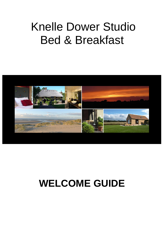# Knelle Dower Studio Bed & Breakfast



# **WELCOME GUIDE**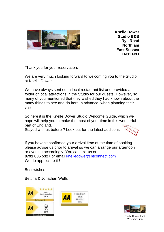

**Knelle Dower Studio B&B Rye Road Northiam East Sussex TN31 6NJ**

Thank you for your reservation.

We are very much looking forward to welcoming you to the Studio at Knelle Dower.

We have always sent out a local restaurant list and provided a folder of local attractions in the Studio for our guests. However, so many of you mentioned that they wished they had known about the many things to see and do here in advance, when planning their visit.

So here it is the Knelle Dower Studio Welcome Guide, which we hope will help you to make the most of your time in this wonderful part of England.

Stayed with us before ? Look out for the latest additions



If you haven't confirmed your arrival time at the time of booking please advise us prior to arrival so we can arrange our afternoon or evening accordingly. You can text us on **0791 805 5327** or email [knelledower@btconnect.com](mailto:knelledower@btconnect.com) We do appreciate it !

Best wishes

Bettina & Jonathan Wells







Knelle Dower Studio Welcome Guide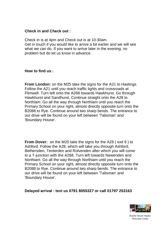#### **Check in and Check out :**

Check in is at 4pm and Check out is at 10:30am. Get in touch if you would like to arrive a bit earlier and we will see what we can do. If you want to arrive later in the evening, no problem but do let us know in advance.

#### **How to find us :**

**From London:** on the M25 take the signs for the A21 to Hastings. Follow the A21 until you reach traffic lights and crossroads at Flimwell. Turn left onto the A268 towards Hawkhurst. Go through Hawkhurst and Sandhurst. Continue straight onto the A28 to Northiam. Go all the way through Northiam until you reach the Primary School on your right, almost directly opposite turn onto the B2088 to Rye. Continue around two sharp bends. The entrance to our drive will be found on your left between 'Talisman' and 'Boundary House'.

**From Dover:** on the M20 take the signs for the A28 ( exit 9 ) to Ashford. Follow the A28, which will take you through Ashford, Bethersden, Tenterden and Rolvenden after which you will come to a T-junction with the A268. Turn left towards Newenden and Northiam. Go all the way through Northiam until you reach the Primary School on your right, almost directly opposite turn onto the B2088 to Rye. Continue around two sharp bends. The entrance to our drive will be found on your left between 'Talisman' and 'Boundary House'.

#### **Delayed arrival : text us 0791 8055327 or call 01797 253163**

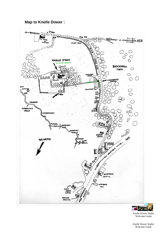# **Map to Knelle Dower :**



**FOR AS** LO Knelle Dower Studio Welcome Guide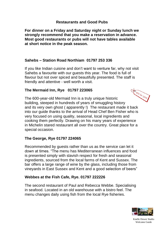# **Restaurants and Good Pubs**

**For dinner on a Friday and Saturday night or Sunday lunch we strongly recommend that you make a reservation in advance. Most good restaurants or pubs will not have tables available at short notice in the peak season.**

## **Sahebs – Station Road Northiam 01797 253 336**

If you like Indian cuisine and don't want to venture far, why not visit Sahebs a favourite with our guests this year. The food is full of flavour but not over spiced and beautifully presented. The staff is friendly and attentive - well worth a visit.

## **The Mermaid Inn, Rye 01797 223065**

NEW for 2019 The 600-year-old Mermaid Inn is a truly unique historic building, steeped in hundreds of years of smuggling history and its very own ghost ( apparently !) The restaurant made it back into our guide thanks to the arrival of Head Chef Ben Fisher who is very focused on using quality, seasonal, local ingredients and cooking them perfectly. Drawing on his many years of experience in Michelin stared restaurant all over the country. Great place for a special occasion.

# **The George, Rye 01797 224065**

Recommended by guests rather than us as the service can let it down at times. "The menu has Mediterranean influences and food is presented simply with slavish respect for fresh and seasonal ingredients, sourced from the local farms of Kent and Sussex. The bar offers a large range of wine by the glass, including those from vineyards in East Sussex and Kent and a good selection of beers"

# **Webbes at the Fish Cafe, Rye. 01797 222226**

The second restaurant of Paul and Rebecca Webbe. Specialising in seafood. Located in an old warehouse with a bistro feel. The menu changes daily using fish from the local Rye fisheries.

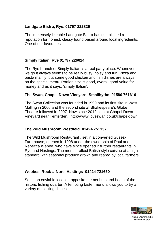# **Landgate Bistro, Rye. 01797 222829**

The immensely likeable Landgate Bistro has established a reputation for honest, classy found based around local ingredients. One of our favourites.

# **Simply Italian, Rye 01797 226024**

The Rye branch of Simply Italian is a real party place. Whenever we go it always seems to be really busy, noisy and fun. Pizza and pasta mainly, but some good chicken and fish dishes are always on the special menu. Portion size is good, overall good value for money and as it says, 'simply Italian'.

# **The Swan, Chapel Down Vineyard, Smallhythe 01580 761616**

The Swan Collection was founded in 1999 and its first site in West Malling in 2000 and the second site at Shakespeare's Globe Theatre followed in 2007. Now since 2012 also at Chapel Down Vineyard near Tenterden.. http://www.loveswan.co.uk/chapeldown

# **The Wild Mushroom Westfield 01424 751137**

The Wild Mushroom Restaurant , set in a converted Sussex Farmhouse, opened in 1998 under the ownership of Paul and Rebecca Webbe, who have since opened 2 further restaurants in Rye and Hastings. The menus reflect British style cuisine at a high standard with seasonal produce grown and reared by local farmers

# **Webbes, Rock-a-Nore, Hastings 01424 721650**

Set in an enviable location opposite the net huts and boats of the historic fishing quarter. A tempting taster menu allows you to try a variety of exciting dishes.

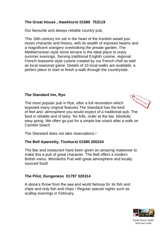# **The Great House , Hawkhurst 01580 753119**

Our favourite and always reliable country pub.

This 16th century inn set in the heart of the Kentish weald just oozes character and history, with its wealth of exposed beams and a magnificent orangery overlooking the private garden. The Mediterranean style stone terrace is the ideal place to enjoy summer evenings. Serving traditional English cuisine, regional French brasserie style cuisine created by our French chef as well as local seasonal game. Details of 10 local walks are available, a perfect place to start or finish a walk through the countryside.

# **The Standard Inn, Rye**

NEW For 2019 The most popular pub in Rye, after a full renovation which exposed many original features The Standard has the kind of feel and atmosphere you would expect of a traditional pub. The food is reliable and of tasty. No frills, order at the bar, blissfully easy going. We often go just for a simple bar snack after a walk on Camber beach.

The Standard does not take reservations !

# **The Bell Aparently, Ticehurst 01580 200234**

The Bar and restaurant have been given an amazing makeover to make this a pub of great character. The Bell offers a modern British menu. Wonderful Pub with great atmosphere and locally sourced food!

# **The Pilot, Dungeness 01797 320314**

A stone's throw from the sea and world famous for its fish and chips and only fish and chips ! Regular special nights such as scallop evenings in February.

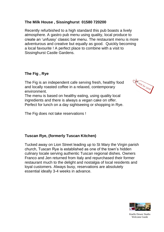# **The Milk House , Sissinghurst 01580 720200**

Recently refurbished to a high standard this pub boasts a lively atmosphere. A gastro pub menu using quality, local produce to create an 'unfussy' classic bar menu. The restaurant menu is more adventurous and creative but equally as good. Quickly becoming a local favourite ! A perfect place to combine with a visit to Sissinghurst Castle Gardens.

#### **The Fig , Rye**

The Fig is an independent cafe serving fresh, healthy food and locally roasted coffee in a relaxed, contemporary environment.

The menu is based on healthy eating, using quality local ingredients and there is always a vegan cake on offer. Perfect for lunch on a day sightseeing or shopping in Rye.

The Fig does not take reservations !

#### **Tuscan Rye, (formerly Tuscan Kitchen)**

Tucked away on Lion Street leading up to St Mary the Virgin parish church, Tuscan Rye is established as one of the town's hidden culinary locale serving authentic Tuscan regional dishes. Owners Franco and Jen returned from Italy and repurchased their former restaurant much to the delight and nostalgia of local residents and loyal customers. Always busy, reservations are absolutely essential ideally 3-4 weeks in advance.



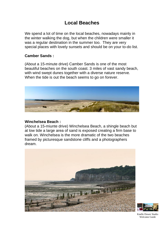# **Local Beaches**

We spend a lot of time on the local beaches, nowadays mainly in the winter walking the dog, but when the children were smaller it was a regular destination in the summer too. They are very special places with lovely sunsets and should be on your to-do list.

#### **Camber Sands :**

(About a 15-minute drive) Camber Sands is one of the most beautiful beaches on the south coast. 3 miles of vast sandy beach, with wind swept dunes together with a diverse nature reserve. When the tide is out the beach seems to go on forever.



#### **Winchelsea Beach :**

(About a 15-miunte drive) Winchelsea Beach, a shingle beach but at low tide a large area of sand is exposed creating a firm base to walk on. Winchelsea is the more dramatic of the two beaches framed by picturesque sandstone cliffs and a photographers dream.





Knelle Dower Studio Welcome Guide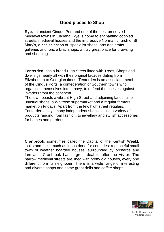# **Good places to Shop**

**Rye,** an ancient Cinque Port and one of the best preserved medieval towns in England, Rye is home to enchanting cobbled streets, medieval houses and the impressive Norman church of St Mary's, a rich selection of specialist shops, arts and crafts galleries and bric a brac shops, a truly great place for browsing and shopping.

**Tenterden**, has a broad High Street lined with Trees, Shops and dwellings nearly all with their original facades dating from Elizabethan to Georgian times. Tenterden is an associate member of the Cinque Ports, a confederation of Southern towns who organised themselves into a navy, to defend themselves against invaders from the continent.

The town boasts a vibrant High Street and adjoining lanes full of unusual shops, a Waitrose supermarket and a regular farmers market on Fridays. Apart from the few high street regulars, Tenterden enjoys many independent shops selling a variety of products ranging from fashion, to jewellery and stylish accessories for homes and gardens.

**Cranbrook**, sometimes called the Capital of the Kentish Weald, looks and feels much as it has done for centuries: a peaceful small town of weather boarded houses, surrounded by orchards and farmland. Cranbrook has a great deal to offer the visitor. The narrow medieval streets are lined with pretty old houses, every one different from its neighbour. There is a wide range of interesting and diverse shops and some great delis and coffee shops.

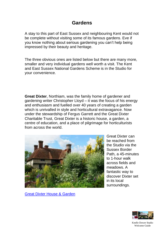# **Gardens**

A stay to this part of East Sussex and neighbouring Kent would not be complete without visiting some of its famous gardens. Eve if you know nothing about serious gardening you can't help being impressed by their beauty and heritage.

The three obvious ones are listed below but there are many more, smaller and very individual gardens well worth a visit. The Kent and East Sussex National Gardens Scheme is in the Studio for your convenience.

**Great Dixter**, Northiam, was the family home of gardener and gardening writer Christopher Lloyd – it was the focus of his energy and enthusiasm and fuelled over 40 years of creating a garden which is unrivalled in style and horticultural extravagance. Now under the stewardship of Fergus Garrett and the Great Dixter Charitable Trust, Great Dixter is a historic house, a garden, a centre of education, and a place of pilgrimage for horticulturists from across the world.



Great Dixter can be reached from the Studio via the Sussex Border Path, a 45-minutes to 1-hour walk across fields and meadows. A fantastic way to discover Dixter set in its local surroundings.

[Great Dixter House & Garden](http://www.greatdixter.co.uk/)

![](_page_10_Picture_7.jpeg)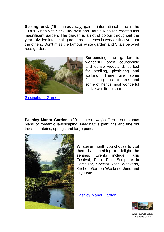**Sissinghurst,** (25 minutes away) gained international fame in the 1930s, when Vita Sackville-West and Harold Nicolson created this magnificent garden. The garden is a riot of colour throughout the year. Divided into small garden rooms, each is very distinctive from the others. Don't miss the famous white garden and Vita's beloved rose garden.

![](_page_11_Picture_1.jpeg)

[Sissinghurst](http://www.nationaltrust.org.uk/w-sissinghurstcastlegarden) Garden

Surrounding the garden is wonderful open countryside and dense woodland, perfect for strolling, picnicking and walking. There are some fascinating ancient trees and some of Kent's most wonderful native wildlife to spot.

**Pashley Manor Gardens** (20 minutes away) offers a sumptuous blend of romantic landscaping, imaginative plantings and fine old trees, fountains, springs and large ponds.

![](_page_11_Picture_5.jpeg)

Whatever month you choose to visit there is something to delight the senses. Events include: Tulip Festival, Plant Fair, Sculpture in Particular, Special Rose Weekend, Kitchen Garden Weekend June and Lily Time.

[Pashley Manor Garden](http://www.pashleymanorgardens.com/)

![](_page_11_Picture_8.jpeg)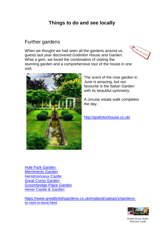# **Things to do and see locally**

# Further gardens

When we thought we had seen all the gardens around us, guests last year discovered Godinton House and Garden. What a gem, we loved the combination of visiting the stunning garden and a comprehensive tour of the house in one visit.

![](_page_12_Picture_3.jpeg)

![](_page_12_Picture_4.jpeg)

The scent of the rose garden in June is amazing, but our favourite is the Italian Garden with its beautiful symmetry.

A circular estate walk completes the day.

<http://godintonhouse.co.uk/>

[Hole Park Garden](http://www.holepark.com/) [Merriments Garden](http://www.merriments.co.uk/) [Herstmonceux Castle](http://www.herstmonceux-castle.com/) [Great Comp Garden](http://www.greatcompgarden.co.uk/) [Groombridge Place Garden](http://www.groombridge.co.uk/) [Hever Castle & Garden](http://www.hevercastle.co.uk/)

[https://www.greatbritishgardens.co.uk/england/category/gardens](https://www.greatbritishgardens.co.uk/england/category/gardens-to-visit-in-kent.html)[to-visit-in-kent.html](https://www.greatbritishgardens.co.uk/england/category/gardens-to-visit-in-kent.html)

![](_page_12_Picture_10.jpeg)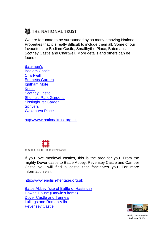# THE NATIONAL TRUST

We are fortunate to be surrounded by so many amazing National Properties that it is really difficult to include them all. Some of our favourites are Bodiam Castle, Smallhythe Place, Batemans, Scotney Castle and Chartwell. More details and others can be found on

[Bateman's](http://www.nationaltrust.org.uk/batemans) [Bodiam Castle](http://www.nationaltrust.org.uk/bodiamcastle) **[Chartwell](http://www.nationaltrust.org.uk/chartwell)** [Emmetts Garden](http://www.nationaltrust.org.uk/w-emmettsgarden) [Ightham Mote](http://www.nationaltrust.org.uk/ighthammote) **[Knole](http://www.nationaltrust.org.uk/knole)** [Scotney Castle](http://www.nationaltrust.org.uk/scotneycastle) [Sheffield Park Gardens](http://www.nationaltrust.org.uk/sheffieldpark/) [Sissinghurst](http://www.nationaltrust.org.uk/w-sissinghurstcastlegarden) Garden **[Sprivers](http://www.nationaltrust.org.uk/sprivers)** [Wakehurst Place](http://www.nationaltrust.org.uk/main/w-wakehurstplace)

[http://www.nationaltrust.org.uk](http://www.nationaltrust.org.uk/)

![](_page_13_Picture_4.jpeg)

If you love medieval castles, this is the area for you. From the mighty Dover castle to Battle Abbey, Pevensey Castle and Camber Castle you will find a castle that fascinates you. For more information visit

[http://www.english-heritage.org.uk](http://www.english-heritage.org.ik/)

[Battle Abbey \(site of Battle of](http://www.english-heritage.org.uk/battleabbey) Hastings) Downe House [\(Darwin's home\)](http://www.english-heritage.org.uk/downehouse) [Dover Castle and Tunnels](http://www.english-heritage.org.uk/dovercastle) [Lullingstone Roman Villa](http://www.english-heritage.org.uk/lullingstone) [Pevensey Castle](http://www.english-heritage.org.uk/pevenseycastle)

![](_page_13_Picture_8.jpeg)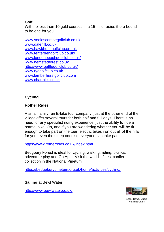# **Golf**

With no less than 10 gold courses in a 15-mile radius there bound to be one for you

[www.sedlescombegolfclub.co.uk](http://www.sedlescombegolfclub.co.uk/) [www.dalehill.co.uk](http://www.dalehill.co.uk/) [www.hawkhurstgolfclub.org.uk](http://www.hawkhurstgolfclub.org.uk/) [www.tenterdengolfclub.co.uk/](http://www.tenterdengolfclub.co.uk/) [www.londonbeachgolfclub.co.uk/](http://www.londonbeachgolfclub.co.uk/) [www.hemstedforest.co.uk](http://www.hemstedforest.co.uk/) <http://www.battlegolfclub.co.uk/> [www.ryegolfclub.co.uk](http://www.ryegolfclub.co.uk/) [www.lamberhurstgolfclub.com](http://www.lamberhurstgolfclub.co/) [www.charthills.co.uk](http://www.charthills.co.uk/)

# **Cycling**

# **Rother Rides**

A small family run E-bike tour company, just at the other end of the village offer several tours for both half and full days. There is no need for any specialist riding experience, just the ability to ride a normal bike. Oh, and if you are wondering whether you will be fit enough to take part on the tour, electric bikes iron out all of the hills for you, even the steep ones so everyone can take part.

<https://www.rotherrides.co.uk/index.html>

Bedgbury Forest is ideal for cycling, walking, riding, picnics, adventure play and Go Ape. Visit the world's finest conifer collection in the National Pinetum.

<https://bedgeburypinetum.org.uk/home/activities/cycling/>

**Sailing** at Bewl Water

<http://www.bewlwater.co.uk/>

![](_page_14_Picture_11.jpeg)

Knelle Dower Studio Welcome Guide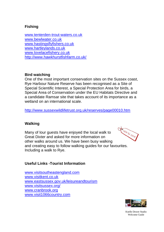# **Fishing**

[www.tenterden-trout-waters.co.uk](http://www.tenterden-trout-waters.co.uk/) [www.bewlwater.co.uk](http://www.bewlwater.co.uk/) [www.hastingsflyfishers.co.uk](http://www.hastingsflyfishers.co.uk/) [www.hartleylands.co.uk](http://www.hartleylands.co.uk/) [www.lovelacefishery.co.uk](http://www.lovelacefishery.co.uk/) <http://www.hawkhurstfishfarm.co.uk/>

## **Bird watching**

One of the most important conservation sites on the Sussex coast, Rye Harbour Nature Reserve has been recognised as a Site of Special Scientific Interest, a Special Protection Area for birds, a Special Area of Conservation under the EU Habitats Directive and a candidate Ramsar site that takes account of its importance as a wetland on an international scale.

<http://www.sussexwildlifetrust.org.uk/reserves/page00010.htm>

# **Walking**

Many of lour guests have enjoyed the local walk to Great Dixter and asked for more information on other walks around us. We have been busy walking and creating easy to follow walking guides for our favourites. Including a walk to Rye.

![](_page_15_Picture_7.jpeg)

# **Useful Links -Tourist Information**

[www.visitsoutheastengland.com](http://www.visitsoutheastengland.com/) [www.visitkent.co.uk](http://www.visitkent.co.uk/) [www.eastsussex.gov.uk/leisureandtourism](http://www.eastsussex.gov.uk/leisureandtourism) [www.visitsussex.org/](http://www.visitsussex.org/) [www.cranbrook.org](http://www.cranbrook.org/) [www.visit1066country.com](http://www.visit1066country.com/)

![](_page_15_Picture_10.jpeg)